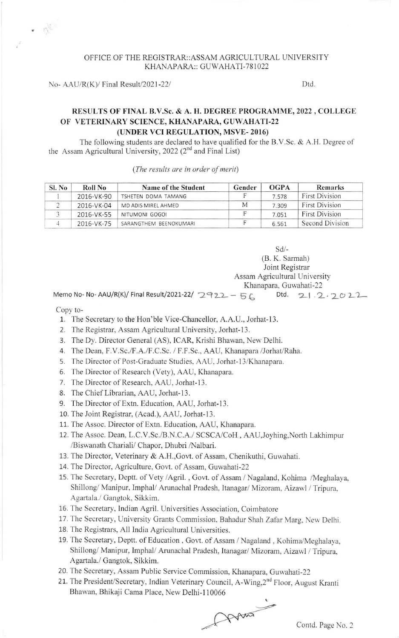## OFFICE OF THE REGISTRAR::ASSAM AGRICULTURAL LINIVERSITY KHANAPARA:: GUWAHATI-781022

No-  $AAU/R(K)/$  Final Result/2021-22/  $Dtd.$ 

## RESULTS OF FINAL B.V.Sc. & A. H. DEGREE PROGRAMME, 2022, COLLEGE OF VETERINARY SCIENCE, KHANAPARA, GUWAHATI-22 (UNDER VCI REGULATION, MSVE- 2016)

The following students are declared to have qualified for the B.V.Sc. & A.H. Degree of the Assam Agricultural University, 2022 (2<sup>nd</sup> and Final List)

(The results are in order of merit)

| Sl. No | Roll No    | Name of the Student    | Gender | OGPA  | <b>Remarks</b>        |
|--------|------------|------------------------|--------|-------|-----------------------|
|        | 2016-VK-90 | TSHETEN DOMA TAMANG    |        | 7.578 | <b>First Division</b> |
|        | 2016-VK-04 | MD ADIS MIREL AHMED    | М      | 7.309 | <b>First Division</b> |
|        | 2016-VK-55 | NITUMONI GOGOI         |        | 7.051 | <b>First Division</b> |
|        | 2016-VK-75 | SARANGTHEM BEENOKUMARI |        | 6.561 | Second Division       |

sd/- (B. K. Sarmah)

Joint Registrar

Assam Agricultural University Khanapara, Guwahati-22

Memo No- No- AAU/R(K)/ Final Result/2021-22/  $2922 - 56$  Dtd.  $21.2.2022$ 

Copy to-

- 1. The Secretary to the Hon'ble Vice-Chancellor, A.A.U., Jorhat-13.
- 2. The Registrar, Assam Agricultural University, Jorhat-l3.
- 3. The Dy. Director General (AS), ICAR, Krishi Bhawan, New Delhi.
- 4. The Dean, F.V.Sc./F.A./F.C.Sc. / F.F.Sc., AAU, Khanapara /Jorhat/Raha.
- 5. The Director of Post-Graduate Studies, AAU, Jorhat-13/Khanapara.
- 6. The Director of Research (Vety), AAU, Khanapara.
- 7. The Director of Research, AAU, Jorhat-13.
- 8. The Chief Librarian, AAU, Jorhat-13.
- 9. The Director of Extn. Education, AAU, Jorhat-13.
- 10. The Joint Registrar, (Acad.), AAU, Jorhat-13.
- 11. The Assoc. Director of Extn. Education, AAU, Khanapara.
- 12. The Assoc. Dean, L.C.V.Sc./B.N.C.A./ SCSCA/CoH , AAU,Joyhing,North Lakhimpur /Biswanath Chariali/ Chapor, Dhubri /Nalbari.
- 13. The Director, Veterinary & A.H.,Govt. of Assam, Chenikuthi, Guwahati.
- 14. The Director, Agriculture, Govt. of Assam, Guwahati-22
- 15. The Secretary, Deptt. of Vety /Agril. , Govt. of Assam / Nagaland, Kohima /Meghalaya, Shillong/ Manipur, Imphal/ Arunachal Pradesh, Itanagar/ Mizoram, Aizawl / Tripura. Agartala./ Gangtok, Sikkim.
- 16. The Secretary, Indian Agril. Universities Association, Coimbatore
- 17. The Secretary, University Grants Commission. Bahadur Shah Zafar Marg, New Delhi.
- 18. The Registrars, All India Agricultural Universities.
- 19. The Secretary, Deptt. of Education, Govt. of Assam / Nagaland, Kohima/Meghalaya, Shillong/ Manipur, Imphal/ Arunachal Pradesh, Itanagar/ Mizoram, Aizawl / Tripura, Agartala./ Gangtok, Sikkim.
- 20. The Secretary, Assam Public Service Commission, Kianapara, Guwahati-22
- 21. The President/Secretary, Indian Veterinary Council, A-Wing, 2<sup>nd</sup> Floor, August Kranti Bhawan, Bhikaji Cama Place, New Delhi-110066

Array